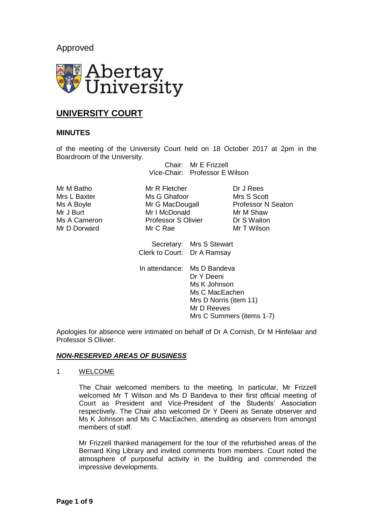# Approved



# **UNIVERSITY COURT**

# **MINUTES**

of the meeting of the University Court held on 18 October 2017 at 2pm in the Boardroom of the University.

Chair: Mr E Frizzell Vice-Chair: Professor E Wilson

Mr M Batho Mr R Fletcher Dr J Rees<br>
Mrs L Baxter Ms G Ghafoor Mrs S Scott Ms G Ghafoor Mr J Burt Mr I McDonald Mr M Shaw Ms A Cameron **Professor S Olivier** Dr S Waiton Mr D Dorward Mr C Rae Mr T Wilson

Ms A Boyle **Mr G MacDougall** Professor N Seaton

Secretary: Mrs S Stewart Clerk to Court: Dr A Ramsay

In attendance: Ms D Bandeva Dr Y Deeni Ms K Johnson Ms C MacEachen Mrs D Norris (item 11) Mr D Reeves Mrs C Summers (items 1-7)

Apologies for absence were intimated on behalf of Dr A Cornish, Dr M Hinfelaar and Professor S Olivier.

## *NON-RESERVED AREAS OF BUSINESS*

1 WELCOME

The Chair welcomed members to the meeting. In particular, Mr Frizzell welcomed Mr T Wilson and Ms D Bandeva to their first official meeting of Court as President and Vice-President of the Students' Association respectively. The Chair also welcomed Dr Y Deeni as Senate observer and Ms K Johnson and Ms C MacEachen, attending as observers from amongst members of staff.

Mr Frizzell thanked management for the tour of the refurbished areas of the Bernard King Library and invited comments from members. Court noted the atmosphere of purposeful activity in the building and commended the impressive developments.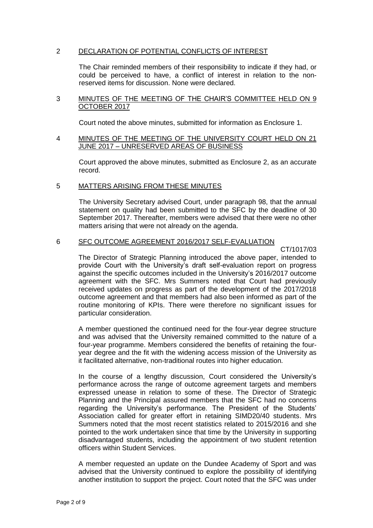# 2 DECLARATION OF POTENTIAL CONFLICTS OF INTEREST

The Chair reminded members of their responsibility to indicate if they had, or could be perceived to have, a conflict of interest in relation to the nonreserved items for discussion. None were declared.

## 3 MINUTES OF THE MEETING OF THE CHAIR'S COMMITTEE HELD ON 9 OCTOBER 2017

Court noted the above minutes, submitted for information as Enclosure 1.

## 4 MINUTES OF THE MEETING OF THE UNIVERSITY COURT HELD ON 21 JUNE 2017 – UNRESERVED AREAS OF BUSINESS

Court approved the above minutes, submitted as Enclosure 2, as an accurate record.

## 5 MATTERS ARISING FROM THESE MINUTES

The University Secretary advised Court, under paragraph 98, that the annual statement on quality had been submitted to the SFC by the deadline of 30 September 2017. Thereafter, members were advised that there were no other matters arising that were not already on the agenda.

## 6 SFC OUTCOME AGREEMENT 2016/2017 SELF-EVALUATION

CT/1017/03

The Director of Strategic Planning introduced the above paper, intended to provide Court with the University's draft self-evaluation report on progress against the specific outcomes included in the University's 2016/2017 outcome agreement with the SFC. Mrs Summers noted that Court had previously received updates on progress as part of the development of the 2017/2018 outcome agreement and that members had also been informed as part of the routine monitoring of KPIs. There were therefore no significant issues for particular consideration.

A member questioned the continued need for the four-year degree structure and was advised that the University remained committed to the nature of a four-year programme. Members considered the benefits of retaining the fouryear degree and the fit with the widening access mission of the University as it facilitated alternative, non-traditional routes into higher education.

In the course of a lengthy discussion, Court considered the University's performance across the range of outcome agreement targets and members expressed unease in relation to some of these. The Director of Strategic Planning and the Principal assured members that the SFC had no concerns regarding the University's performance. The President of the Students' Association called for greater effort in retaining SIMD20/40 students. Mrs Summers noted that the most recent statistics related to 2015/2016 and she pointed to the work undertaken since that time by the University in supporting disadvantaged students, including the appointment of two student retention officers within Student Services.

A member requested an update on the Dundee Academy of Sport and was advised that the University continued to explore the possibility of identifying another institution to support the project. Court noted that the SFC was under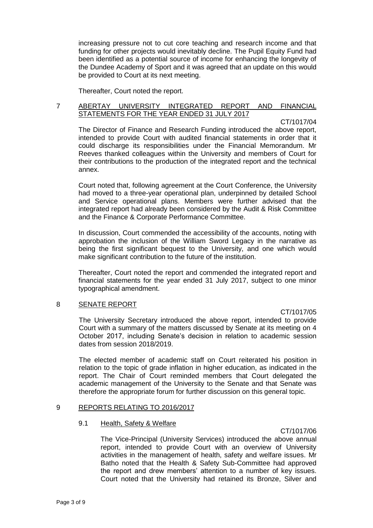increasing pressure not to cut core teaching and research income and that funding for other projects would inevitably decline. The Pupil Equity Fund had been identified as a potential source of income for enhancing the longevity of the Dundee Academy of Sport and it was agreed that an update on this would be provided to Court at its next meeting.

Thereafter, Court noted the report.

# 7 ABERTAY UNIVERSITY INTEGRATED REPORT AND FINANCIAL STATEMENTS FOR THE YEAR ENDED 31 JULY 2017

CT/1017/04

The Director of Finance and Research Funding introduced the above report, intended to provide Court with audited financial statements in order that it could discharge its responsibilities under the Financial Memorandum. Mr Reeves thanked colleagues within the University and members of Court for their contributions to the production of the integrated report and the technical annex.

Court noted that, following agreement at the Court Conference, the University had moved to a three-year operational plan, underpinned by detailed School and Service operational plans. Members were further advised that the integrated report had already been considered by the Audit & Risk Committee and the Finance & Corporate Performance Committee.

In discussion, Court commended the accessibility of the accounts, noting with approbation the inclusion of the William Sword Legacy in the narrative as being the first significant bequest to the University, and one which would make significant contribution to the future of the institution.

Thereafter, Court noted the report and commended the integrated report and financial statements for the year ended 31 July 2017, subject to one minor typographical amendment.

# 8 SENATE REPORT

CT/1017/05

The University Secretary introduced the above report, intended to provide Court with a summary of the matters discussed by Senate at its meeting on 4 October 2017, including Senate's decision in relation to academic session dates from session 2018/2019.

The elected member of academic staff on Court reiterated his position in relation to the topic of grade inflation in higher education, as indicated in the report. The Chair of Court reminded members that Court delegated the academic management of the University to the Senate and that Senate was therefore the appropriate forum for further discussion on this general topic.

# 9 REPORTS RELATING TO 2016/2017

# 9.1 Health, Safety & Welfare

CT/1017/06

The Vice-Principal (University Services) introduced the above annual report, intended to provide Court with an overview of University activities in the management of health, safety and welfare issues. Mr Batho noted that the Health & Safety Sub-Committee had approved the report and drew members' attention to a number of key issues. Court noted that the University had retained its Bronze, Silver and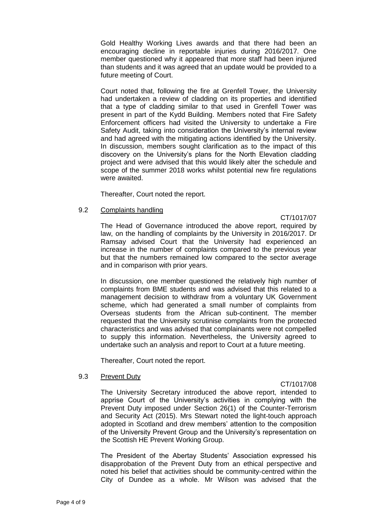Gold Healthy Working Lives awards and that there had been an encouraging decline in reportable injuries during 2016/2017. One member questioned why it appeared that more staff had been injured than students and it was agreed that an update would be provided to a future meeting of Court.

Court noted that, following the fire at Grenfell Tower, the University had undertaken a review of cladding on its properties and identified that a type of cladding similar to that used in Grenfell Tower was present in part of the Kydd Building. Members noted that Fire Safety Enforcement officers had visited the University to undertake a Fire Safety Audit, taking into consideration the University's internal review and had agreed with the mitigating actions identified by the University. In discussion, members sought clarification as to the impact of this discovery on the University's plans for the North Elevation cladding project and were advised that this would likely alter the schedule and scope of the summer 2018 works whilst potential new fire regulations were awaited.

Thereafter, Court noted the report.

# 9.2 Complaints handling

# CT/1017/07

The Head of Governance introduced the above report, required by law, on the handling of complaints by the University in 2016/2017. Dr Ramsay advised Court that the University had experienced an increase in the number of complaints compared to the previous year but that the numbers remained low compared to the sector average and in comparison with prior years.

In discussion, one member questioned the relatively high number of complaints from BME students and was advised that this related to a management decision to withdraw from a voluntary UK Government scheme, which had generated a small number of complaints from Overseas students from the African sub-continent. The member requested that the University scrutinise complaints from the protected characteristics and was advised that complainants were not compelled to supply this information. Nevertheless, the University agreed to undertake such an analysis and report to Court at a future meeting.

Thereafter, Court noted the report.

# 9.3 Prevent Duty

# CT/1017/08

The University Secretary introduced the above report, intended to apprise Court of the University's activities in complying with the Prevent Duty imposed under Section 26(1) of the Counter-Terrorism and Security Act (2015). Mrs Stewart noted the light-touch approach adopted in Scotland and drew members' attention to the composition of the University Prevent Group and the University's representation on the Scottish HE Prevent Working Group.

The President of the Abertay Students' Association expressed his disapprobation of the Prevent Duty from an ethical perspective and noted his belief that activities should be community-centred within the City of Dundee as a whole. Mr Wilson was advised that the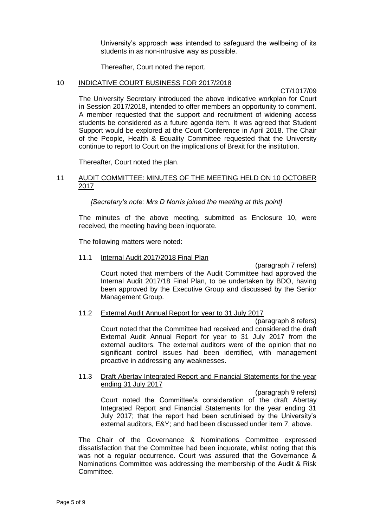University's approach was intended to safeguard the wellbeing of its students in as non-intrusive way as possible.

Thereafter, Court noted the report.

#### 10 INDICATIVE COURT BUSINESS FOR 2017/2018

CT/1017/09

The University Secretary introduced the above indicative workplan for Court in Session 2017/2018, intended to offer members an opportunity to comment. A member requested that the support and recruitment of widening access students be considered as a future agenda item. It was agreed that Student Support would be explored at the Court Conference in April 2018. The Chair of the People, Health & Equality Committee requested that the University continue to report to Court on the implications of Brexit for the institution.

Thereafter, Court noted the plan.

## 11 AUDIT COMMITTEE: MINUTES OF THE MEETING HELD ON 10 OCTOBER 2017

*[Secretary's note: Mrs D Norris joined the meeting at this point]*

The minutes of the above meeting, submitted as Enclosure 10, were received, the meeting having been inquorate.

The following matters were noted:

#### 11.1 Internal Audit 2017/2018 Final Plan

(paragraph 7 refers) Court noted that members of the Audit Committee had approved the Internal Audit 2017/18 Final Plan, to be undertaken by BDO, having been approved by the Executive Group and discussed by the Senior Management Group.

#### 11.2 External Audit Annual Report for year to 31 July 2017

(paragraph 8 refers) Court noted that the Committee had received and considered the draft External Audit Annual Report for year to 31 July 2017 from the external auditors. The external auditors were of the opinion that no significant control issues had been identified, with management proactive in addressing any weaknesses.

#### 11.3 Draft Abertay Integrated Report and Financial Statements for the year ending 31 July 2017

(paragraph 9 refers) Court noted the Committee's consideration of the draft Abertay Integrated Report and Financial Statements for the year ending 31 July 2017; that the report had been scrutinised by the University's external auditors, E&Y; and had been discussed under item 7, above.

The Chair of the Governance & Nominations Committee expressed dissatisfaction that the Committee had been inquorate, whilst noting that this was not a regular occurrence. Court was assured that the Governance & Nominations Committee was addressing the membership of the Audit & Risk Committee.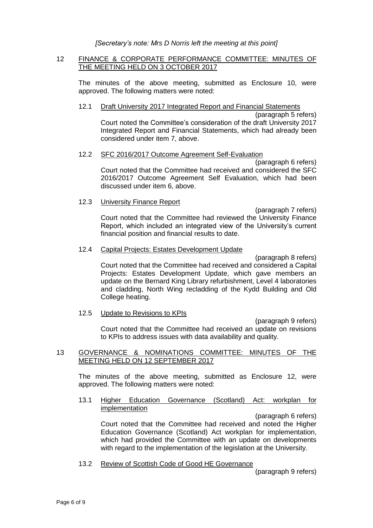# *[Secretary's note: Mrs D Norris left the meeting at this point]*

## 12 FINANCE & CORPORATE PERFORMANCE COMMITTEE: MINUTES OF THE MEETING HELD ON 3 OCTOBER 2017

The minutes of the above meeting, submitted as Enclosure 10, were approved. The following matters were noted:

# 12.1 Draft University 2017 Integrated Report and Financial Statements

(paragraph 5 refers) Court noted the Committee's consideration of the draft University 2017 Integrated Report and Financial Statements, which had already been considered under item 7, above.

# 12.2 SFC 2016/2017 Outcome Agreement Self-Evaluation

(paragraph 6 refers) Court noted that the Committee had received and considered the SFC 2016/2017 Outcome Agreement Self Evaluation, which had been discussed under item 6, above.

## 12.3 University Finance Report

(paragraph 7 refers) Court noted that the Committee had reviewed the University Finance Report, which included an integrated view of the University's current financial position and financial results to date.

#### 12.4 Capital Projects: Estates Development Update

(paragraph 8 refers) Court noted that the Committee had received and considered a Capital Projects: Estates Development Update, which gave members an update on the Bernard King Library refurbishment, Level 4 laboratories and cladding, North Wing recladding of the Kydd Building and Old College heating.

# 12.5 Update to Revisions to KPIs

(paragraph 9 refers) Court noted that the Committee had received an update on revisions to KPIs to address issues with data availability and quality.

# 13 GOVERNANCE & NOMINATIONS COMMITTEE: MINUTES OF THE MEETING HELD ON 12 SEPTEMBER 2017

The minutes of the above meeting, submitted as Enclosure 12, were approved. The following matters were noted:

13.1 Higher Education Governance (Scotland) Act: workplan for **implementation** 

(paragraph 6 refers) Court noted that the Committee had received and noted the Higher Education Governance (Scotland) Act workplan for implementation, which had provided the Committee with an update on developments with regard to the implementation of the legislation at the University.

13.2 Review of Scottish Code of Good HE Governance

(paragraph 9 refers)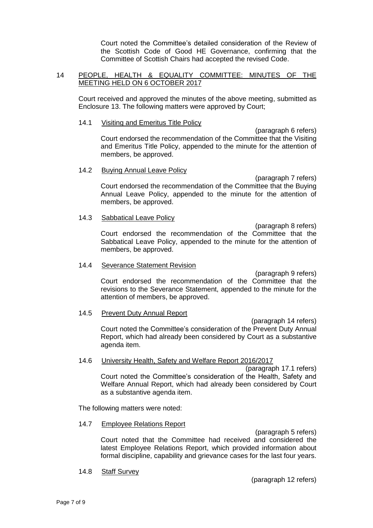Court noted the Committee's detailed consideration of the Review of the Scottish Code of Good HE Governance, confirming that the Committee of Scottish Chairs had accepted the revised Code.

# 14 PEOPLE, HEALTH & EQUALITY COMMITTEE: MINUTES OF THE MEETING HELD ON 6 OCTOBER 2017

Court received and approved the minutes of the above meeting, submitted as Enclosure 13. The following matters were approved by Court;

#### 14.1 Visiting and Emeritus Title Policy

(paragraph 6 refers) Court endorsed the recommendation of the Committee that the Visiting and Emeritus Title Policy, appended to the minute for the attention of members, be approved.

# 14.2 Buying Annual Leave Policy

(paragraph 7 refers) Court endorsed the recommendation of the Committee that the Buying Annual Leave Policy, appended to the minute for the attention of members, be approved.

# 14.3 Sabbatical Leave Policy

(paragraph 8 refers) Court endorsed the recommendation of the Committee that the Sabbatical Leave Policy, appended to the minute for the attention of members, be approved.

#### 14.4 Severance Statement Revision

(paragraph 9 refers) Court endorsed the recommendation of the Committee that the revisions to the Severance Statement, appended to the minute for the attention of members, be approved.

## 14.5 Prevent Duty Annual Report

(paragraph 14 refers) Court noted the Committee's consideration of the Prevent Duty Annual Report, which had already been considered by Court as a substantive agenda item.

## 14.6 University Health, Safety and Welfare Report 2016/2017

(paragraph 17.1 refers) Court noted the Committee's consideration of the Health, Safety and Welfare Annual Report, which had already been considered by Court as a substantive agenda item.

The following matters were noted:

#### 14.7 Employee Relations Report

(paragraph 5 refers) Court noted that the Committee had received and considered the latest Employee Relations Report, which provided information about formal discipline, capability and grievance cases for the last four years.

#### 14.8 Staff Survey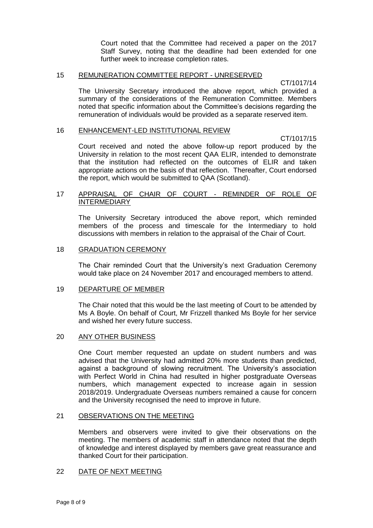Court noted that the Committee had received a paper on the 2017 Staff Survey, noting that the deadline had been extended for one further week to increase completion rates.

#### 15 REMUNERATION COMMITTEE REPORT - UNRESERVED

CT/1017/14

The University Secretary introduced the above report, which provided a summary of the considerations of the Remuneration Committee. Members noted that specific information about the Committee's decisions regarding the remuneration of individuals would be provided as a separate reserved item.

#### 16 ENHANCEMENT-LED INSTITUTIONAL REVIEW

CT/1017/15

Court received and noted the above follow-up report produced by the University in relation to the most recent QAA ELIR, intended to demonstrate that the institution had reflected on the outcomes of ELIR and taken appropriate actions on the basis of that reflection. Thereafter, Court endorsed the report, which would be submitted to QAA (Scotland).

# 17 APPRAISAL OF CHAIR OF COURT - REMINDER OF ROLE OF INTERMEDIARY

The University Secretary introduced the above report, which reminded members of the process and timescale for the Intermediary to hold discussions with members in relation to the appraisal of the Chair of Court.

## 18 GRADUATION CEREMONY

The Chair reminded Court that the University's next Graduation Ceremony would take place on 24 November 2017 and encouraged members to attend.

## 19 DEPARTURE OF MEMBER

The Chair noted that this would be the last meeting of Court to be attended by Ms A Boyle. On behalf of Court, Mr Frizzell thanked Ms Boyle for her service and wished her every future success.

## 20 ANY OTHER BUSINESS

One Court member requested an update on student numbers and was advised that the University had admitted 20% more students than predicted, against a background of slowing recruitment. The University's association with Perfect World in China had resulted in higher postgraduate Overseas numbers, which management expected to increase again in session 2018/2019. Undergraduate Overseas numbers remained a cause for concern and the University recognised the need to improve in future.

## 21 OBSERVATIONS ON THE MEETING

Members and observers were invited to give their observations on the meeting. The members of academic staff in attendance noted that the depth of knowledge and interest displayed by members gave great reassurance and thanked Court for their participation.

#### 22 DATE OF NEXT MEETING